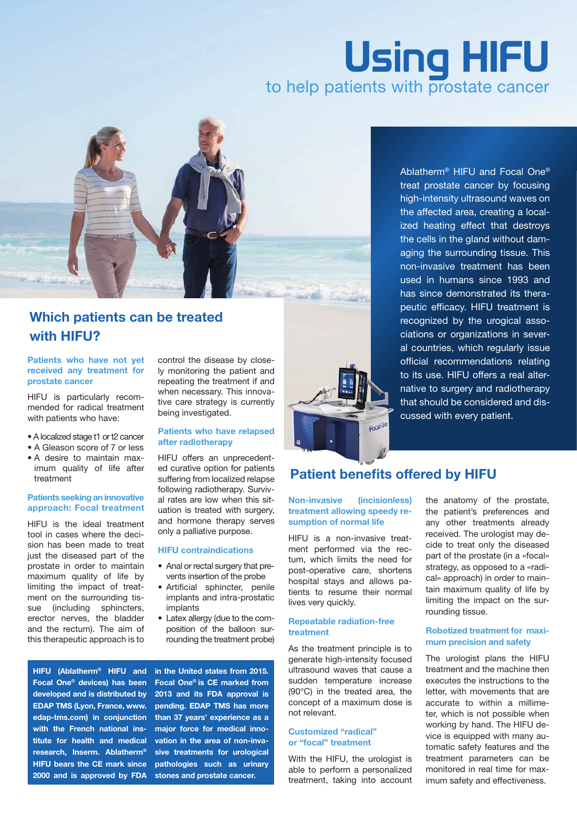# Using HIFU<br>to help patients with prostate cancer



# Which patients can be treated with HIFU?

#### Patients who have not yet received any treatment for prostate cancer

HIFU is particularly recommended for radical treatment with patients who have:

- A localized stage t1 or t2 cancer
- A Gleason score of 7 or less
- A desire to maintain maximum quality of life after treatment

#### Patients seeking an innovative approach: Focal treatment

HIFU is the ideal treatment tool in cases where the decision has been made to treat just the diseased part of the prostate in order to maintain maximum quality of life by limiting the impact of treatment on the surrounding tissue (including sphincters, erector nerves, the bladder and the rectum). The aim of this therapeutic approach is to control the disease by closely monitoring the patient and repeating the treatment if and when necessary. This innovative care strategy is currently being investigated.

#### Patients who have relapsed after radiotherapy

HIFU offers an unprecedented curative option for patients suffering from localized relapse following radiotherapy. Survival rates are low when this situation is treated with surgery, and hormone therapy serves only a palliative purpose.

#### HIFU contraindications

- Anal or rectal surgery that prevents insertion of the probe
- Artificial sphincter, penile implants and intra-prostatic implants
- Latex allergy (due to the composition of the balloon surrounding the treatment probe)

HIFU (Ablatherm® HIFU and Focal One® devices) has been developed and is distributed by EDAP TMS (Lyon, France, www. edap-tms.com) in conjunction with the French national institute for health and medical research, Inserm. Ablatherm® HIFU bears the CE mark since 2000 and is approved by FDA

in the United states from 2015. Focal One® is CE marked from 2013 and its FDA approval is pending. EDAP TMS has more than 37 years' experience as a major force for medical innovation in the area of non-invasive treatments for urological pathologies such as urinary stones and prostate cancer.



#### Ablatherm® HIFU and Focal One® treat prostate cancer by focusing high-intensity ultrasound waves on the affected area, creating a localized heating effect that destroys the cells in the gland without damaging the surrounding tissue. This non-invasive treatment has been used in humans since 1993 and has since demonstrated its therapeutic efficacy. HIFU treatment is recognized by the urogical associations or organizations in several countries, which regularly issue official recommendations relating to its use. HIFU offers a real alternative to surgery and radiotherapy that should be considered and discussed with every patient.

# Patient benefits offered by HIFU

#### Non-invasive (incisionless) treatment allowing speedy resumption of normal life

HIFU is a non-invasive treatment performed via the rectum, which limits the need for post-operative care, shortens hospital stays and allows patients to resume their normal lives very quickly.

#### Repeatable radiation-free treatment

As the treatment principle is to generate high-intensity focused ultrasound waves that cause a sudden temperature increase (90°C) in the treated area, the concept of a maximum dose is not relevant.

#### Customized "radical" or "focal" treatment

With the HIFU, the urologist is able to perform a personalized treatment, taking into account the anatomy of the prostate, the patient's preferences and any other treatments already received. The urologist may decide to treat only the diseased part of the prostate (in a «focal» strategy, as opposed to a «radical» approach) in order to maintain maximum quality of life by limiting the impact on the surrounding tissue.

#### Robotized treatment for maximum precision and safety

The urologist plans the HIFU treatment and the machine then executes the instructions to the letter, with movements that are accurate to within a millimeter, which is not possible when working by hand. The HIFU device is equipped with many automatic safety features and the treatment parameters can be monitored in real time for maximum safety and effectiveness.